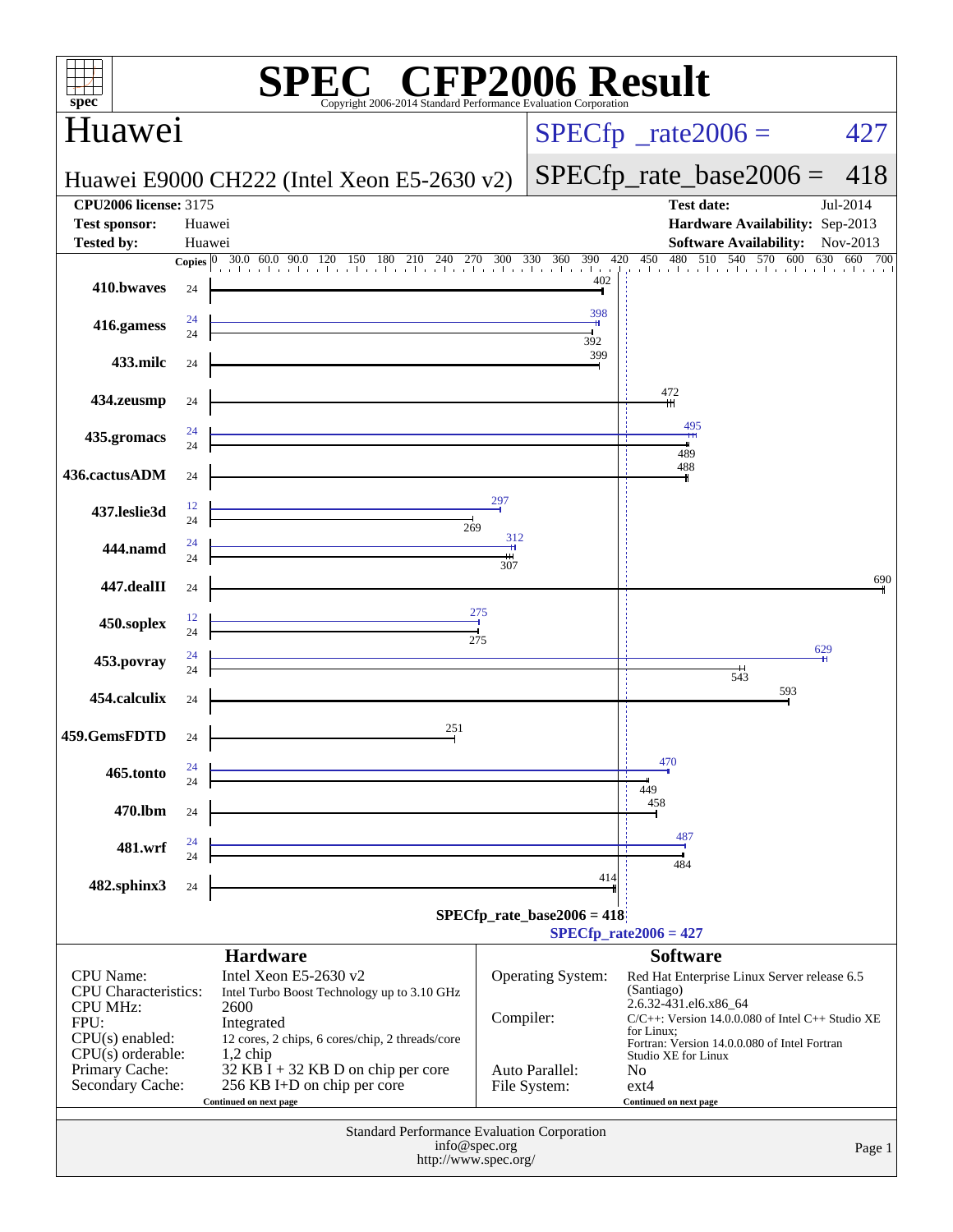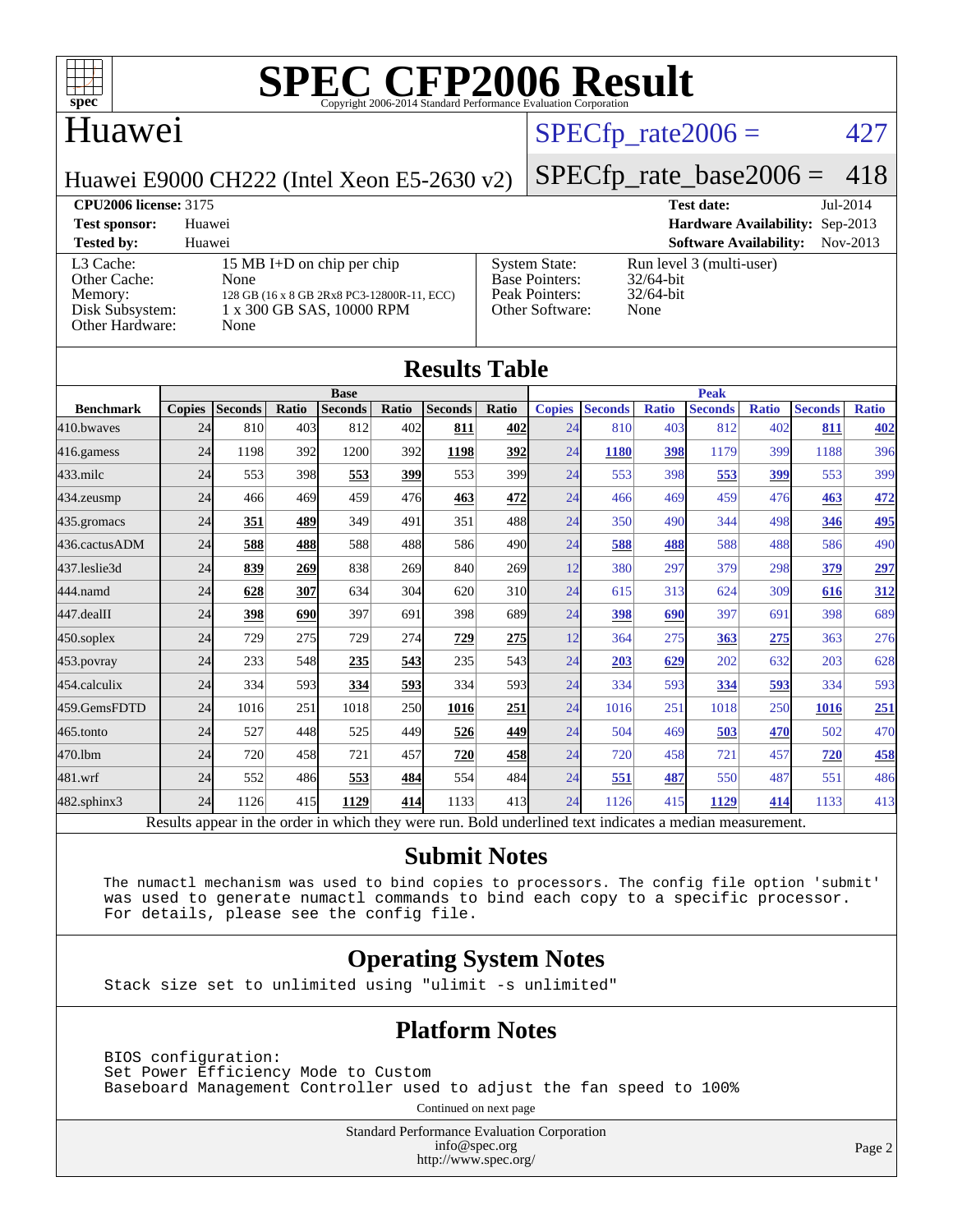

### Huawei

### $SPECTp_rate2006 = 427$

[System State:](http://www.spec.org/auto/cpu2006/Docs/result-fields.html#SystemState) Run level 3 (multi-user)<br>Base Pointers: 32/64-bit

[Peak Pointers:](http://www.spec.org/auto/cpu2006/Docs/result-fields.html#PeakPointers) 32/64-bit [Other Software:](http://www.spec.org/auto/cpu2006/Docs/result-fields.html#OtherSoftware) None

[Base Pointers:](http://www.spec.org/auto/cpu2006/Docs/result-fields.html#BasePointers)

Huawei E9000 CH222 (Intel Xeon E5-2630 v2)

### [SPECfp\\_rate\\_base2006 =](http://www.spec.org/auto/cpu2006/Docs/result-fields.html#SPECfpratebase2006) 418

**[CPU2006 license:](http://www.spec.org/auto/cpu2006/Docs/result-fields.html#CPU2006license)** 3175 **[Test date:](http://www.spec.org/auto/cpu2006/Docs/result-fields.html#Testdate)** Jul-2014 **[Test sponsor:](http://www.spec.org/auto/cpu2006/Docs/result-fields.html#Testsponsor)** Huawei **[Hardware Availability:](http://www.spec.org/auto/cpu2006/Docs/result-fields.html#HardwareAvailability)** Sep-2013

**[Tested by:](http://www.spec.org/auto/cpu2006/Docs/result-fields.html#Testedby)** Huawei **[Software Availability:](http://www.spec.org/auto/cpu2006/Docs/result-fields.html#SoftwareAvailability)** Nov-2013 [L3 Cache:](http://www.spec.org/auto/cpu2006/Docs/result-fields.html#L3Cache) 15 MB I+D on chip per chip<br>Other Cache: None [Other Cache:](http://www.spec.org/auto/cpu2006/Docs/result-fields.html#OtherCache) [Memory:](http://www.spec.org/auto/cpu2006/Docs/result-fields.html#Memory) 128 GB (16 x 8 GB 2Rx8 PC3-12800R-11, ECC) [Disk Subsystem:](http://www.spec.org/auto/cpu2006/Docs/result-fields.html#DiskSubsystem) 1 x 300 GB SAS, 10000 RPM [Other Hardware:](http://www.spec.org/auto/cpu2006/Docs/result-fields.html#OtherHardware) None

| <b>Results Table</b> |               |                                                                                                          |       |                |       |                |       |               |                |              |                |              |                |              |
|----------------------|---------------|----------------------------------------------------------------------------------------------------------|-------|----------------|-------|----------------|-------|---------------|----------------|--------------|----------------|--------------|----------------|--------------|
|                      | <b>Base</b>   |                                                                                                          |       |                |       |                |       | <b>Peak</b>   |                |              |                |              |                |              |
| <b>Benchmark</b>     | <b>Copies</b> | <b>Seconds</b>                                                                                           | Ratio | <b>Seconds</b> | Ratio | <b>Seconds</b> | Ratio | <b>Copies</b> | <b>Seconds</b> | <b>Ratio</b> | <b>Seconds</b> | <b>Ratio</b> | <b>Seconds</b> | <b>Ratio</b> |
| 410.bwayes           | 24            | 810                                                                                                      | 403   | 812            | 402   | 811            | 402   | 24            | 810            | 403          | 812            | 402          | 811            | 402          |
| 416.gamess           | 24            | 1198                                                                                                     | 392   | 1200           | 392   | 1198           | 392   | 24            | 1180           | 398          | 1179           | 399          | 1188           | 396          |
| 433.milc             | 24            | 553                                                                                                      | 398   | 553            | 399   | 553            | 399   | 24            | 553            | 398          | 553            | 399          | 553            | 399          |
| $434$ . zeusmp       | 24            | 466                                                                                                      | 469   | 459            | 476   | 463            | 472   | 24            | 466            | 469          | 459            | 476          | 463            | 472          |
| $435$ .gromacs       | 24            | 351                                                                                                      | 489   | 349            | 491   | 351            | 488   | 24            | 350            | 490          | 344            | 498          | 346            | <b>495</b>   |
| 436.cactusADM        | 24            | 588                                                                                                      | 488   | 588            | 488   | 586            | 490   | 24            | 588            | 488          | 588            | 488          | 586            | 490          |
| 437.leslie3d         | 24            | 839                                                                                                      | 269   | 838            | 269   | 840            | 269   | 12            | 380            | 297          | 379            | 298          | 379            | 297          |
| 444.namd             | 24            | 628                                                                                                      | 307   | 634            | 304   | 620            | 310   | 24            | 615            | 313          | 624            | 309          | 616            | 312          |
| 447.dealII           | 24            | 398                                                                                                      | 690   | 397            | 691   | 398            | 689   | 24            | 398            | 690          | 397            | 691          | 398            | 689          |
| $450$ .soplex        | 24            | 729                                                                                                      | 275   | 729            | 274   | 729            | 275   | 12            | 364            | 275          | 363            | 275          | 363            | 276          |
| 453.povray           | 24            | 233                                                                                                      | 548   | 235            | 543   | 235            | 543   | 24            | 203            | 629          | 202            | 632          | 203            | 628          |
| 454.calculix         | 24            | 334                                                                                                      | 593   | 334            | 593   | 334            | 593   | 24            | 334            | 593          | 334            | 593          | 334            | 593          |
| 459.GemsFDTD         | 24            | 1016                                                                                                     | 251   | 1018           | 250   | 1016           | 251   | 24            | 1016           | 251          | 1018           | 250          | 1016           | 251          |
| $465$ .tonto         | 24            | 527                                                                                                      | 448   | 525            | 449   | 526            | 449   | 24            | 504            | 469          | 503            | 470          | 502            | 470          |
| 470.1bm              | 24            | 720                                                                                                      | 458   | 721            | 457   | 720            | 458   | 24            | 720            | 458          | 721            | 457          | 720            | 458          |
| 481.wrf              | 24            | 552                                                                                                      | 486   | 553            | 484   | 554            | 484   | 24            | 551            | 487          | 550            | 487          | 551            | 486          |
| 482.sphinx3          | 24            | 1126                                                                                                     | 415   | 1129           | 414   | 1133           | 413   | 24            | 1126           | 415          | 1129           | 414          | 1133           | 413          |
|                      |               | Results appear in the order in which they were run. Bold underlined text indicates a median measurement. |       |                |       |                |       |               |                |              |                |              |                |              |

#### **[Submit Notes](http://www.spec.org/auto/cpu2006/Docs/result-fields.html#SubmitNotes)**

 The numactl mechanism was used to bind copies to processors. The config file option 'submit' was used to generate numactl commands to bind each copy to a specific processor. For details, please see the config file.

### **[Operating System Notes](http://www.spec.org/auto/cpu2006/Docs/result-fields.html#OperatingSystemNotes)**

Stack size set to unlimited using "ulimit -s unlimited"

#### **[Platform Notes](http://www.spec.org/auto/cpu2006/Docs/result-fields.html#PlatformNotes)**

 BIOS configuration: Set Power Efficiency Mode to Custom Baseboard Management Controller used to adjust the fan speed to 100%

Continued on next page

Standard Performance Evaluation Corporation [info@spec.org](mailto:info@spec.org) <http://www.spec.org/>

Page 2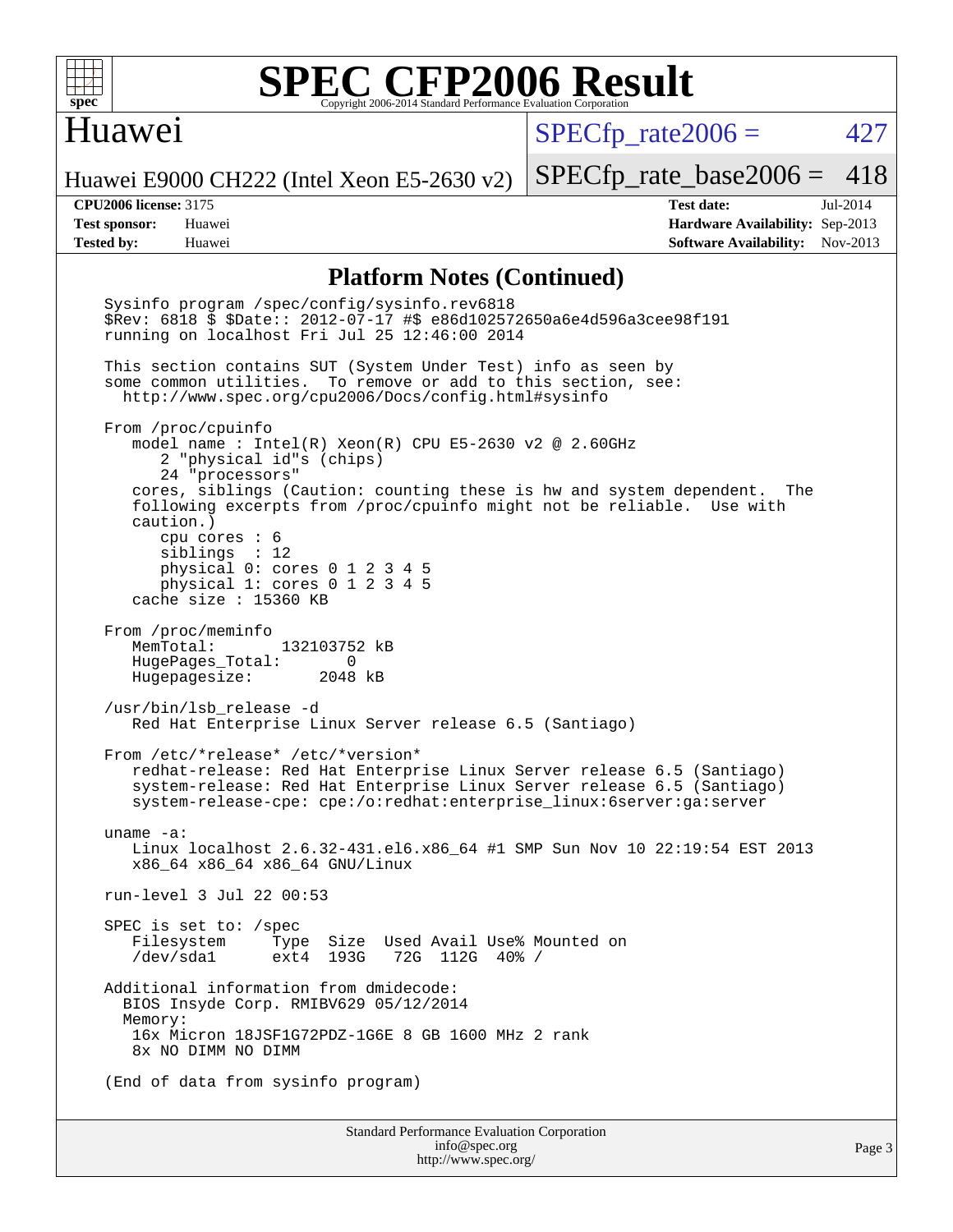

### Huawei

 $SPECTp\_rate2006 = 427$ 

Huawei E9000 CH222 (Intel Xeon E5-2630 v2)

**[Tested by:](http://www.spec.org/auto/cpu2006/Docs/result-fields.html#Testedby)** Huawei **[Software Availability:](http://www.spec.org/auto/cpu2006/Docs/result-fields.html#SoftwareAvailability)** Nov-2013

[SPECfp\\_rate\\_base2006 =](http://www.spec.org/auto/cpu2006/Docs/result-fields.html#SPECfpratebase2006) 418 **[CPU2006 license:](http://www.spec.org/auto/cpu2006/Docs/result-fields.html#CPU2006license)** 3175 **[Test date:](http://www.spec.org/auto/cpu2006/Docs/result-fields.html#Testdate)** Jul-2014 **[Test sponsor:](http://www.spec.org/auto/cpu2006/Docs/result-fields.html#Testsponsor)** Huawei **[Hardware Availability:](http://www.spec.org/auto/cpu2006/Docs/result-fields.html#HardwareAvailability)** Sep-2013

#### **[Platform Notes \(Continued\)](http://www.spec.org/auto/cpu2006/Docs/result-fields.html#PlatformNotes)**

Standard Performance Evaluation Corporation [info@spec.org](mailto:info@spec.org) Sysinfo program /spec/config/sysinfo.rev6818 \$Rev: 6818 \$ \$Date:: 2012-07-17 #\$ e86d102572650a6e4d596a3cee98f191 running on localhost Fri Jul 25 12:46:00 2014 This section contains SUT (System Under Test) info as seen by some common utilities. To remove or add to this section, see: <http://www.spec.org/cpu2006/Docs/config.html#sysinfo> From /proc/cpuinfo model name : Intel(R) Xeon(R) CPU E5-2630 v2 @ 2.60GHz 2 "physical id"s (chips) 24 "processors" cores, siblings (Caution: counting these is hw and system dependent. The following excerpts from /proc/cpuinfo might not be reliable. Use with caution.) cpu cores : 6 siblings : 12 physical 0: cores 0 1 2 3 4 5 physical 1: cores 0 1 2 3 4 5 cache size : 15360 KB From /proc/meminfo MemTotal: 132103752 kB HugePages\_Total: 0<br>Hugepagesize: 2048 kB Hugepagesize: /usr/bin/lsb\_release -d Red Hat Enterprise Linux Server release 6.5 (Santiago) From /etc/\*release\* /etc/\*version\* redhat-release: Red Hat Enterprise Linux Server release 6.5 (Santiago) system-release: Red Hat Enterprise Linux Server release 6.5 (Santiago) system-release-cpe: cpe:/o:redhat:enterprise\_linux:6server:ga:server uname -a: Linux localhost 2.6.32-431.el6.x86\_64 #1 SMP Sun Nov 10 22:19:54 EST 2013 x86\_64 x86\_64 x86\_64 GNU/Linux run-level 3 Jul 22 00:53 SPEC is set to: /spec Filesystem Type Size Used Avail Use% Mounted on 72G 112G 40% / Additional information from dmidecode: BIOS Insyde Corp. RMIBV629 05/12/2014 Memory: 16x Micron 18JSF1G72PDZ-1G6E 8 GB 1600 MHz 2 rank 8x NO DIMM NO DIMM (End of data from sysinfo program)

<http://www.spec.org/>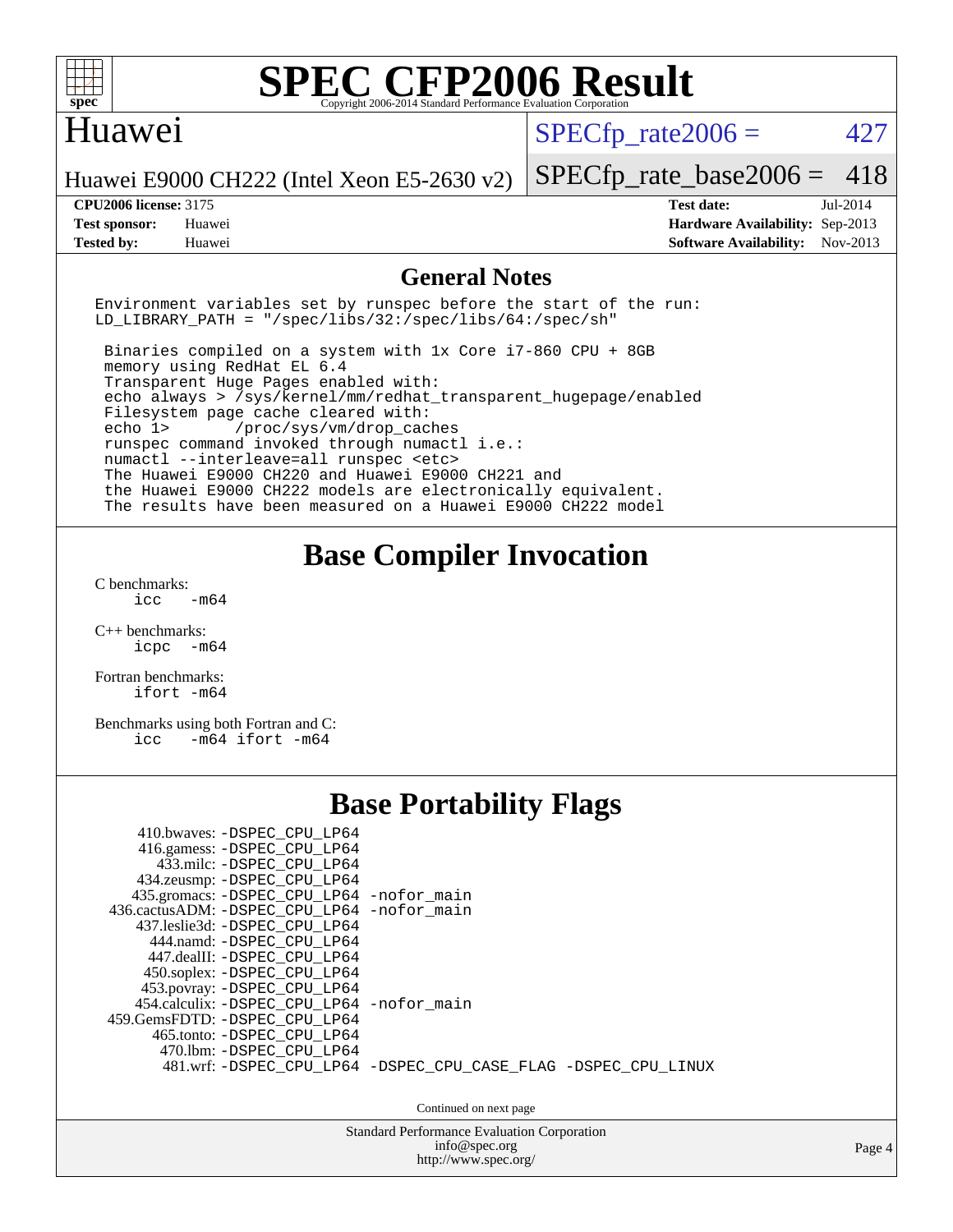

### Huawei

 $SPECTp\_rate2006 = 427$ 

Huawei E9000 CH222 (Intel Xeon E5-2630 v2)

**[Tested by:](http://www.spec.org/auto/cpu2006/Docs/result-fields.html#Testedby)** Huawei **[Software Availability:](http://www.spec.org/auto/cpu2006/Docs/result-fields.html#SoftwareAvailability)** Nov-2013

[SPECfp\\_rate\\_base2006 =](http://www.spec.org/auto/cpu2006/Docs/result-fields.html#SPECfpratebase2006) 418

**[CPU2006 license:](http://www.spec.org/auto/cpu2006/Docs/result-fields.html#CPU2006license)** 3175 **[Test date:](http://www.spec.org/auto/cpu2006/Docs/result-fields.html#Testdate)** Jul-2014 **[Test sponsor:](http://www.spec.org/auto/cpu2006/Docs/result-fields.html#Testsponsor)** Huawei **[Hardware Availability:](http://www.spec.org/auto/cpu2006/Docs/result-fields.html#HardwareAvailability)** Sep-2013

#### **[General Notes](http://www.spec.org/auto/cpu2006/Docs/result-fields.html#GeneralNotes)**

Environment variables set by runspec before the start of the run: LD LIBRARY PATH = "/spec/libs/32:/spec/libs/64:/spec/sh"

 Binaries compiled on a system with 1x Core i7-860 CPU + 8GB memory using RedHat EL 6.4 Transparent Huge Pages enabled with: echo always > /sys/kernel/mm/redhat\_transparent\_hugepage/enabled Filesystem page cache cleared with: echo 1> /proc/sys/vm/drop\_caches runspec command invoked through numactl i.e.: numactl --interleave=all runspec <etc> The Huawei E9000 CH220 and Huawei E9000 CH221 and the Huawei E9000 CH222 models are electronically equivalent. The results have been measured on a Huawei E9000 CH222 model

# **[Base Compiler Invocation](http://www.spec.org/auto/cpu2006/Docs/result-fields.html#BaseCompilerInvocation)**

[C benchmarks](http://www.spec.org/auto/cpu2006/Docs/result-fields.html#Cbenchmarks):  $-m64$ 

[C++ benchmarks:](http://www.spec.org/auto/cpu2006/Docs/result-fields.html#CXXbenchmarks) [icpc -m64](http://www.spec.org/cpu2006/results/res2014q3/cpu2006-20140729-30696.flags.html#user_CXXbase_intel_icpc_64bit_bedb90c1146cab66620883ef4f41a67e)

[Fortran benchmarks](http://www.spec.org/auto/cpu2006/Docs/result-fields.html#Fortranbenchmarks): [ifort -m64](http://www.spec.org/cpu2006/results/res2014q3/cpu2006-20140729-30696.flags.html#user_FCbase_intel_ifort_64bit_ee9d0fb25645d0210d97eb0527dcc06e)

[Benchmarks using both Fortran and C](http://www.spec.org/auto/cpu2006/Docs/result-fields.html#BenchmarksusingbothFortranandC): [icc -m64](http://www.spec.org/cpu2006/results/res2014q3/cpu2006-20140729-30696.flags.html#user_CC_FCbase_intel_icc_64bit_0b7121f5ab7cfabee23d88897260401c) [ifort -m64](http://www.spec.org/cpu2006/results/res2014q3/cpu2006-20140729-30696.flags.html#user_CC_FCbase_intel_ifort_64bit_ee9d0fb25645d0210d97eb0527dcc06e)

# **[Base Portability Flags](http://www.spec.org/auto/cpu2006/Docs/result-fields.html#BasePortabilityFlags)**

| 410.bwaves: -DSPEC CPU LP64<br>416.gamess: -DSPEC_CPU_LP64<br>433.milc: -DSPEC CPU LP64<br>434.zeusmp: - DSPEC_CPU_LP64<br>435.gromacs: -DSPEC_CPU_LP64 -nofor_main<br>436.cactusADM: - DSPEC CPU LP64 - nofor main<br>437.leslie3d: -DSPEC CPU LP64<br>444.namd: -DSPEC CPU LP64<br>447.dealII: -DSPEC CPU LP64<br>450.soplex: -DSPEC CPU LP64<br>453.povray: -DSPEC_CPU_LP64 |                                                                |
|--------------------------------------------------------------------------------------------------------------------------------------------------------------------------------------------------------------------------------------------------------------------------------------------------------------------------------------------------------------------------------|----------------------------------------------------------------|
| 454.calculix: - DSPEC CPU LP64 - nofor main<br>459.GemsFDTD: - DSPEC_CPU LP64<br>465.tonto: - DSPEC CPU LP64                                                                                                                                                                                                                                                                   |                                                                |
| 470.1bm: - DSPEC CPU LP64                                                                                                                                                                                                                                                                                                                                                      | 481.wrf: -DSPEC_CPU_LP64 -DSPEC_CPU_CASE_FLAG -DSPEC_CPU_LINUX |
|                                                                                                                                                                                                                                                                                                                                                                                | Continued on next page                                         |

Standard Performance Evaluation Corporation [info@spec.org](mailto:info@spec.org) <http://www.spec.org/>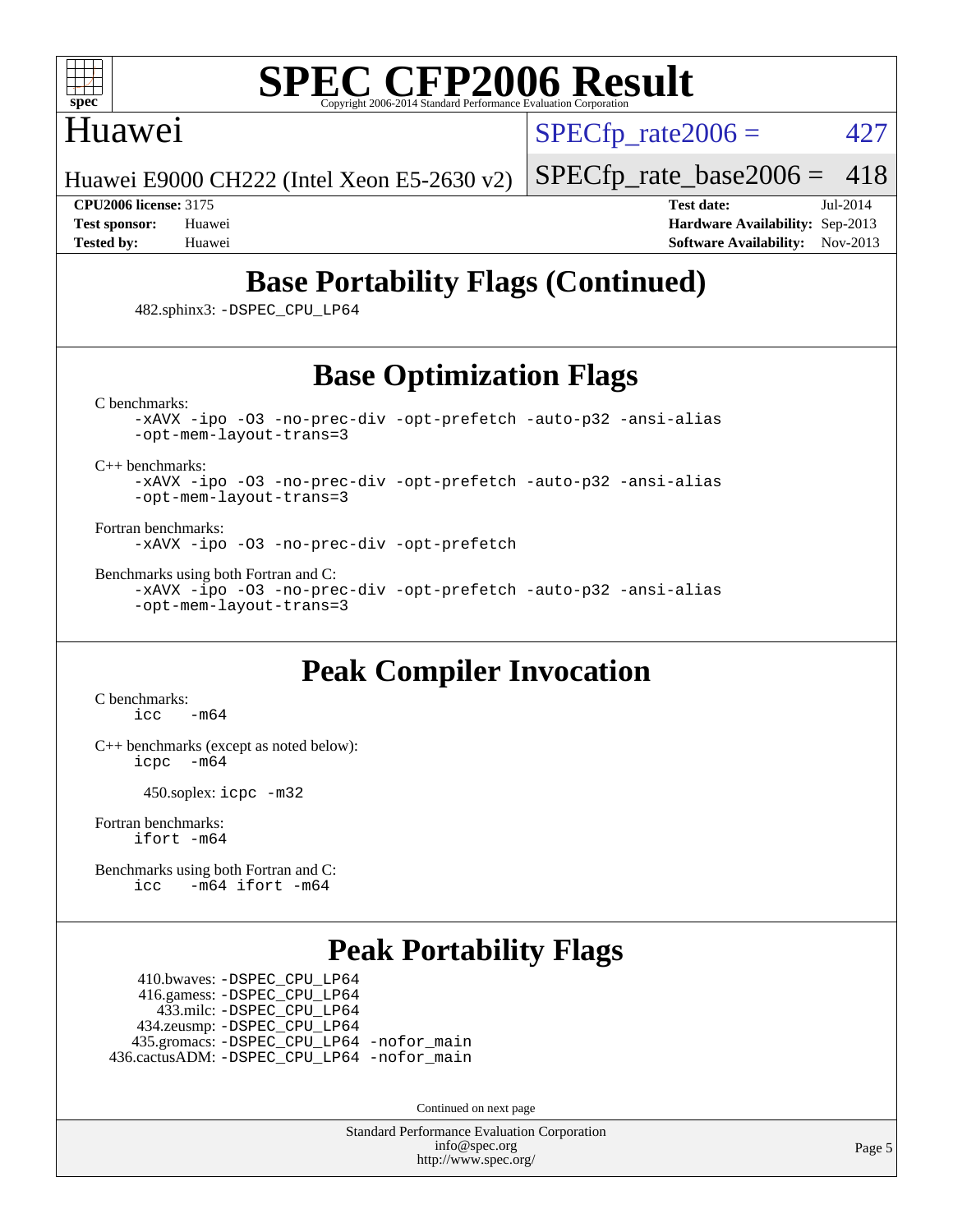

## Huawei

 $SPECTp\_rate2006 = 427$ 

Huawei E9000 CH222 (Intel Xeon E5-2630 v2)

[SPECfp\\_rate\\_base2006 =](http://www.spec.org/auto/cpu2006/Docs/result-fields.html#SPECfpratebase2006) 418

**[CPU2006 license:](http://www.spec.org/auto/cpu2006/Docs/result-fields.html#CPU2006license)** 3175 **[Test date:](http://www.spec.org/auto/cpu2006/Docs/result-fields.html#Testdate)** Jul-2014 **[Test sponsor:](http://www.spec.org/auto/cpu2006/Docs/result-fields.html#Testsponsor)** Huawei **[Hardware Availability:](http://www.spec.org/auto/cpu2006/Docs/result-fields.html#HardwareAvailability)** Sep-2013 **[Tested by:](http://www.spec.org/auto/cpu2006/Docs/result-fields.html#Testedby)** Huawei **[Software Availability:](http://www.spec.org/auto/cpu2006/Docs/result-fields.html#SoftwareAvailability)** Nov-2013

# **[Base Portability Flags \(Continued\)](http://www.spec.org/auto/cpu2006/Docs/result-fields.html#BasePortabilityFlags)**

482.sphinx3: [-DSPEC\\_CPU\\_LP64](http://www.spec.org/cpu2006/results/res2014q3/cpu2006-20140729-30696.flags.html#suite_basePORTABILITY482_sphinx3_DSPEC_CPU_LP64)

# **[Base Optimization Flags](http://www.spec.org/auto/cpu2006/Docs/result-fields.html#BaseOptimizationFlags)**

[C benchmarks](http://www.spec.org/auto/cpu2006/Docs/result-fields.html#Cbenchmarks):

[-xAVX](http://www.spec.org/cpu2006/results/res2014q3/cpu2006-20140729-30696.flags.html#user_CCbase_f-xAVX) [-ipo](http://www.spec.org/cpu2006/results/res2014q3/cpu2006-20140729-30696.flags.html#user_CCbase_f-ipo) [-O3](http://www.spec.org/cpu2006/results/res2014q3/cpu2006-20140729-30696.flags.html#user_CCbase_f-O3) [-no-prec-div](http://www.spec.org/cpu2006/results/res2014q3/cpu2006-20140729-30696.flags.html#user_CCbase_f-no-prec-div) [-opt-prefetch](http://www.spec.org/cpu2006/results/res2014q3/cpu2006-20140729-30696.flags.html#user_CCbase_f-opt-prefetch) [-auto-p32](http://www.spec.org/cpu2006/results/res2014q3/cpu2006-20140729-30696.flags.html#user_CCbase_f-auto-p32) [-ansi-alias](http://www.spec.org/cpu2006/results/res2014q3/cpu2006-20140729-30696.flags.html#user_CCbase_f-ansi-alias) [-opt-mem-layout-trans=3](http://www.spec.org/cpu2006/results/res2014q3/cpu2006-20140729-30696.flags.html#user_CCbase_f-opt-mem-layout-trans_a7b82ad4bd7abf52556d4961a2ae94d5)

[C++ benchmarks:](http://www.spec.org/auto/cpu2006/Docs/result-fields.html#CXXbenchmarks)

[-xAVX](http://www.spec.org/cpu2006/results/res2014q3/cpu2006-20140729-30696.flags.html#user_CXXbase_f-xAVX) [-ipo](http://www.spec.org/cpu2006/results/res2014q3/cpu2006-20140729-30696.flags.html#user_CXXbase_f-ipo) [-O3](http://www.spec.org/cpu2006/results/res2014q3/cpu2006-20140729-30696.flags.html#user_CXXbase_f-O3) [-no-prec-div](http://www.spec.org/cpu2006/results/res2014q3/cpu2006-20140729-30696.flags.html#user_CXXbase_f-no-prec-div) [-opt-prefetch](http://www.spec.org/cpu2006/results/res2014q3/cpu2006-20140729-30696.flags.html#user_CXXbase_f-opt-prefetch) [-auto-p32](http://www.spec.org/cpu2006/results/res2014q3/cpu2006-20140729-30696.flags.html#user_CXXbase_f-auto-p32) [-ansi-alias](http://www.spec.org/cpu2006/results/res2014q3/cpu2006-20140729-30696.flags.html#user_CXXbase_f-ansi-alias) [-opt-mem-layout-trans=3](http://www.spec.org/cpu2006/results/res2014q3/cpu2006-20140729-30696.flags.html#user_CXXbase_f-opt-mem-layout-trans_a7b82ad4bd7abf52556d4961a2ae94d5)

[Fortran benchmarks](http://www.spec.org/auto/cpu2006/Docs/result-fields.html#Fortranbenchmarks): [-xAVX](http://www.spec.org/cpu2006/results/res2014q3/cpu2006-20140729-30696.flags.html#user_FCbase_f-xAVX) [-ipo](http://www.spec.org/cpu2006/results/res2014q3/cpu2006-20140729-30696.flags.html#user_FCbase_f-ipo) [-O3](http://www.spec.org/cpu2006/results/res2014q3/cpu2006-20140729-30696.flags.html#user_FCbase_f-O3) [-no-prec-div](http://www.spec.org/cpu2006/results/res2014q3/cpu2006-20140729-30696.flags.html#user_FCbase_f-no-prec-div) [-opt-prefetch](http://www.spec.org/cpu2006/results/res2014q3/cpu2006-20140729-30696.flags.html#user_FCbase_f-opt-prefetch)

[Benchmarks using both Fortran and C](http://www.spec.org/auto/cpu2006/Docs/result-fields.html#BenchmarksusingbothFortranandC):

[-xAVX](http://www.spec.org/cpu2006/results/res2014q3/cpu2006-20140729-30696.flags.html#user_CC_FCbase_f-xAVX) [-ipo](http://www.spec.org/cpu2006/results/res2014q3/cpu2006-20140729-30696.flags.html#user_CC_FCbase_f-ipo) [-O3](http://www.spec.org/cpu2006/results/res2014q3/cpu2006-20140729-30696.flags.html#user_CC_FCbase_f-O3) [-no-prec-div](http://www.spec.org/cpu2006/results/res2014q3/cpu2006-20140729-30696.flags.html#user_CC_FCbase_f-no-prec-div) [-opt-prefetch](http://www.spec.org/cpu2006/results/res2014q3/cpu2006-20140729-30696.flags.html#user_CC_FCbase_f-opt-prefetch) [-auto-p32](http://www.spec.org/cpu2006/results/res2014q3/cpu2006-20140729-30696.flags.html#user_CC_FCbase_f-auto-p32) [-ansi-alias](http://www.spec.org/cpu2006/results/res2014q3/cpu2006-20140729-30696.flags.html#user_CC_FCbase_f-ansi-alias) [-opt-mem-layout-trans=3](http://www.spec.org/cpu2006/results/res2014q3/cpu2006-20140729-30696.flags.html#user_CC_FCbase_f-opt-mem-layout-trans_a7b82ad4bd7abf52556d4961a2ae94d5)

# **[Peak Compiler Invocation](http://www.spec.org/auto/cpu2006/Docs/result-fields.html#PeakCompilerInvocation)**

[C benchmarks](http://www.spec.org/auto/cpu2006/Docs/result-fields.html#Cbenchmarks):  $\text{icc}$   $-\text{m64}$ 

[C++ benchmarks \(except as noted below\):](http://www.spec.org/auto/cpu2006/Docs/result-fields.html#CXXbenchmarksexceptasnotedbelow) [icpc -m64](http://www.spec.org/cpu2006/results/res2014q3/cpu2006-20140729-30696.flags.html#user_CXXpeak_intel_icpc_64bit_bedb90c1146cab66620883ef4f41a67e)

450.soplex: [icpc -m32](http://www.spec.org/cpu2006/results/res2014q3/cpu2006-20140729-30696.flags.html#user_peakCXXLD450_soplex_intel_icpc_4e5a5ef1a53fd332b3c49e69c3330699)

[Fortran benchmarks](http://www.spec.org/auto/cpu2006/Docs/result-fields.html#Fortranbenchmarks): [ifort -m64](http://www.spec.org/cpu2006/results/res2014q3/cpu2006-20140729-30696.flags.html#user_FCpeak_intel_ifort_64bit_ee9d0fb25645d0210d97eb0527dcc06e)

[Benchmarks using both Fortran and C](http://www.spec.org/auto/cpu2006/Docs/result-fields.html#BenchmarksusingbothFortranandC): [icc -m64](http://www.spec.org/cpu2006/results/res2014q3/cpu2006-20140729-30696.flags.html#user_CC_FCpeak_intel_icc_64bit_0b7121f5ab7cfabee23d88897260401c) [ifort -m64](http://www.spec.org/cpu2006/results/res2014q3/cpu2006-20140729-30696.flags.html#user_CC_FCpeak_intel_ifort_64bit_ee9d0fb25645d0210d97eb0527dcc06e)

# **[Peak Portability Flags](http://www.spec.org/auto/cpu2006/Docs/result-fields.html#PeakPortabilityFlags)**

 410.bwaves: [-DSPEC\\_CPU\\_LP64](http://www.spec.org/cpu2006/results/res2014q3/cpu2006-20140729-30696.flags.html#suite_peakPORTABILITY410_bwaves_DSPEC_CPU_LP64) 416.gamess: [-DSPEC\\_CPU\\_LP64](http://www.spec.org/cpu2006/results/res2014q3/cpu2006-20140729-30696.flags.html#suite_peakPORTABILITY416_gamess_DSPEC_CPU_LP64) 433.milc: [-DSPEC\\_CPU\\_LP64](http://www.spec.org/cpu2006/results/res2014q3/cpu2006-20140729-30696.flags.html#suite_peakPORTABILITY433_milc_DSPEC_CPU_LP64) 434.zeusmp: [-DSPEC\\_CPU\\_LP64](http://www.spec.org/cpu2006/results/res2014q3/cpu2006-20140729-30696.flags.html#suite_peakPORTABILITY434_zeusmp_DSPEC_CPU_LP64) 435.gromacs: [-DSPEC\\_CPU\\_LP64](http://www.spec.org/cpu2006/results/res2014q3/cpu2006-20140729-30696.flags.html#suite_peakPORTABILITY435_gromacs_DSPEC_CPU_LP64) [-nofor\\_main](http://www.spec.org/cpu2006/results/res2014q3/cpu2006-20140729-30696.flags.html#user_peakLDPORTABILITY435_gromacs_f-nofor_main) 436.cactusADM: [-DSPEC\\_CPU\\_LP64](http://www.spec.org/cpu2006/results/res2014q3/cpu2006-20140729-30696.flags.html#suite_peakPORTABILITY436_cactusADM_DSPEC_CPU_LP64) [-nofor\\_main](http://www.spec.org/cpu2006/results/res2014q3/cpu2006-20140729-30696.flags.html#user_peakLDPORTABILITY436_cactusADM_f-nofor_main)

Continued on next page

Standard Performance Evaluation Corporation [info@spec.org](mailto:info@spec.org) <http://www.spec.org/>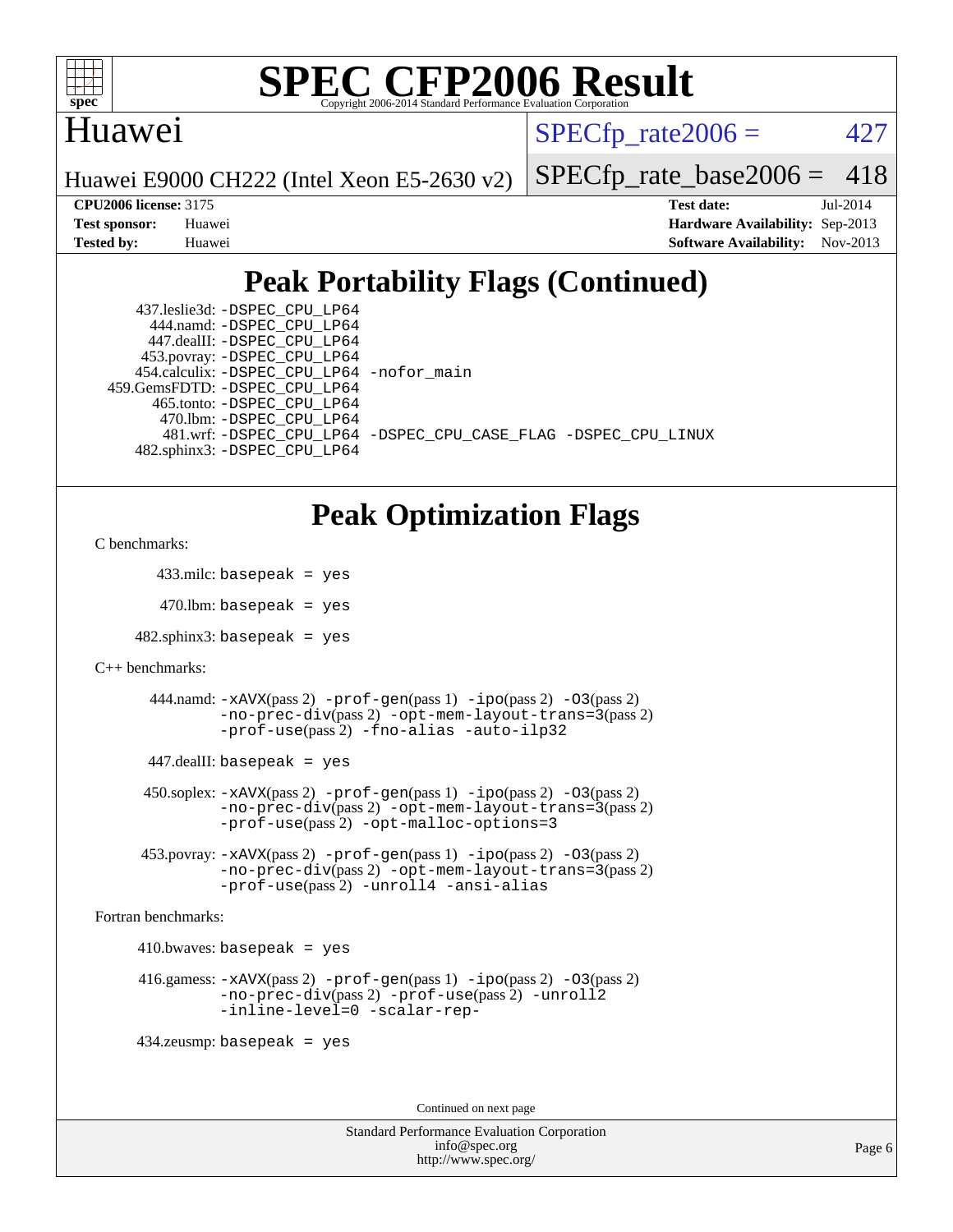

## Huawei

 $SPECTp\_rate2006 = 427$ 

Huawei E9000 CH222 (Intel Xeon E5-2630 v2)

[SPECfp\\_rate\\_base2006 =](http://www.spec.org/auto/cpu2006/Docs/result-fields.html#SPECfpratebase2006) 418

**[CPU2006 license:](http://www.spec.org/auto/cpu2006/Docs/result-fields.html#CPU2006license)** 3175 **[Test date:](http://www.spec.org/auto/cpu2006/Docs/result-fields.html#Testdate)** Jul-2014 **[Test sponsor:](http://www.spec.org/auto/cpu2006/Docs/result-fields.html#Testsponsor)** Huawei **[Hardware Availability:](http://www.spec.org/auto/cpu2006/Docs/result-fields.html#HardwareAvailability)** Sep-2013 **[Tested by:](http://www.spec.org/auto/cpu2006/Docs/result-fields.html#Testedby)** Huawei **[Software Availability:](http://www.spec.org/auto/cpu2006/Docs/result-fields.html#SoftwareAvailability)** Nov-2013

# **[Peak Portability Flags \(Continued\)](http://www.spec.org/auto/cpu2006/Docs/result-fields.html#PeakPortabilityFlags)**

| 437.leslie3d: -DSPEC CPU LP64             |                                                                |
|-------------------------------------------|----------------------------------------------------------------|
| 444.namd: - DSPEC CPU LP64                |                                                                |
| 447.dealII: -DSPEC CPU LP64               |                                                                |
| 453.povray: -DSPEC_CPU_LP64               |                                                                |
| 454.calculix: -DSPEC_CPU_LP64 -nofor_main |                                                                |
| 459.GemsFDTD: - DSPEC_CPU LP64            |                                                                |
| 465.tonto: -DSPEC CPU LP64                |                                                                |
| 470.1bm: -DSPEC CPU LP64                  |                                                                |
|                                           | 481.wrf: -DSPEC CPU_LP64 -DSPEC_CPU_CASE_FLAG -DSPEC_CPU_LINUX |
| 482.sphinx3: -DSPEC CPU LP64              |                                                                |

# **[Peak Optimization Flags](http://www.spec.org/auto/cpu2006/Docs/result-fields.html#PeakOptimizationFlags)**

```
C benchmarks:
```
433.milc: basepeak = yes

 $470.$ lbm: basepeak = yes

 $482$ .sphinx3: basepeak = yes

```
C++ benchmarks:
```
 444.namd: [-xAVX](http://www.spec.org/cpu2006/results/res2014q3/cpu2006-20140729-30696.flags.html#user_peakPASS2_CXXFLAGSPASS2_LDFLAGS444_namd_f-xAVX)(pass 2) [-prof-gen](http://www.spec.org/cpu2006/results/res2014q3/cpu2006-20140729-30696.flags.html#user_peakPASS1_CXXFLAGSPASS1_LDFLAGS444_namd_prof_gen_e43856698f6ca7b7e442dfd80e94a8fc)(pass 1) [-ipo](http://www.spec.org/cpu2006/results/res2014q3/cpu2006-20140729-30696.flags.html#user_peakPASS2_CXXFLAGSPASS2_LDFLAGS444_namd_f-ipo)(pass 2) [-O3](http://www.spec.org/cpu2006/results/res2014q3/cpu2006-20140729-30696.flags.html#user_peakPASS2_CXXFLAGSPASS2_LDFLAGS444_namd_f-O3)(pass 2) [-no-prec-div](http://www.spec.org/cpu2006/results/res2014q3/cpu2006-20140729-30696.flags.html#user_peakPASS2_CXXFLAGSPASS2_LDFLAGS444_namd_f-no-prec-div)(pass 2) [-opt-mem-layout-trans=3](http://www.spec.org/cpu2006/results/res2014q3/cpu2006-20140729-30696.flags.html#user_peakPASS2_CXXFLAGS444_namd_f-opt-mem-layout-trans_a7b82ad4bd7abf52556d4961a2ae94d5)(pass 2) [-prof-use](http://www.spec.org/cpu2006/results/res2014q3/cpu2006-20140729-30696.flags.html#user_peakPASS2_CXXFLAGSPASS2_LDFLAGS444_namd_prof_use_bccf7792157ff70d64e32fe3e1250b55)(pass 2) [-fno-alias](http://www.spec.org/cpu2006/results/res2014q3/cpu2006-20140729-30696.flags.html#user_peakCXXOPTIMIZE444_namd_f-no-alias_694e77f6c5a51e658e82ccff53a9e63a) [-auto-ilp32](http://www.spec.org/cpu2006/results/res2014q3/cpu2006-20140729-30696.flags.html#user_peakCXXOPTIMIZE444_namd_f-auto-ilp32)

447.dealII: basepeak = yes

 450.soplex: [-xAVX](http://www.spec.org/cpu2006/results/res2014q3/cpu2006-20140729-30696.flags.html#user_peakPASS2_CXXFLAGSPASS2_LDFLAGS450_soplex_f-xAVX)(pass 2) [-prof-gen](http://www.spec.org/cpu2006/results/res2014q3/cpu2006-20140729-30696.flags.html#user_peakPASS1_CXXFLAGSPASS1_LDFLAGS450_soplex_prof_gen_e43856698f6ca7b7e442dfd80e94a8fc)(pass 1) [-ipo](http://www.spec.org/cpu2006/results/res2014q3/cpu2006-20140729-30696.flags.html#user_peakPASS2_CXXFLAGSPASS2_LDFLAGS450_soplex_f-ipo)(pass 2) [-O3](http://www.spec.org/cpu2006/results/res2014q3/cpu2006-20140729-30696.flags.html#user_peakPASS2_CXXFLAGSPASS2_LDFLAGS450_soplex_f-O3)(pass 2) [-no-prec-div](http://www.spec.org/cpu2006/results/res2014q3/cpu2006-20140729-30696.flags.html#user_peakPASS2_CXXFLAGSPASS2_LDFLAGS450_soplex_f-no-prec-div)(pass 2) [-opt-mem-layout-trans=3](http://www.spec.org/cpu2006/results/res2014q3/cpu2006-20140729-30696.flags.html#user_peakPASS2_CXXFLAGS450_soplex_f-opt-mem-layout-trans_a7b82ad4bd7abf52556d4961a2ae94d5)(pass 2) [-prof-use](http://www.spec.org/cpu2006/results/res2014q3/cpu2006-20140729-30696.flags.html#user_peakPASS2_CXXFLAGSPASS2_LDFLAGS450_soplex_prof_use_bccf7792157ff70d64e32fe3e1250b55)(pass 2) [-opt-malloc-options=3](http://www.spec.org/cpu2006/results/res2014q3/cpu2006-20140729-30696.flags.html#user_peakOPTIMIZE450_soplex_f-opt-malloc-options_13ab9b803cf986b4ee62f0a5998c2238)

 453.povray: [-xAVX](http://www.spec.org/cpu2006/results/res2014q3/cpu2006-20140729-30696.flags.html#user_peakPASS2_CXXFLAGSPASS2_LDFLAGS453_povray_f-xAVX)(pass 2) [-prof-gen](http://www.spec.org/cpu2006/results/res2014q3/cpu2006-20140729-30696.flags.html#user_peakPASS1_CXXFLAGSPASS1_LDFLAGS453_povray_prof_gen_e43856698f6ca7b7e442dfd80e94a8fc)(pass 1) [-ipo](http://www.spec.org/cpu2006/results/res2014q3/cpu2006-20140729-30696.flags.html#user_peakPASS2_CXXFLAGSPASS2_LDFLAGS453_povray_f-ipo)(pass 2) [-O3](http://www.spec.org/cpu2006/results/res2014q3/cpu2006-20140729-30696.flags.html#user_peakPASS2_CXXFLAGSPASS2_LDFLAGS453_povray_f-O3)(pass 2) [-no-prec-div](http://www.spec.org/cpu2006/results/res2014q3/cpu2006-20140729-30696.flags.html#user_peakPASS2_CXXFLAGSPASS2_LDFLAGS453_povray_f-no-prec-div)(pass 2) [-opt-mem-layout-trans=3](http://www.spec.org/cpu2006/results/res2014q3/cpu2006-20140729-30696.flags.html#user_peakPASS2_CXXFLAGS453_povray_f-opt-mem-layout-trans_a7b82ad4bd7abf52556d4961a2ae94d5)(pass 2) [-prof-use](http://www.spec.org/cpu2006/results/res2014q3/cpu2006-20140729-30696.flags.html#user_peakPASS2_CXXFLAGSPASS2_LDFLAGS453_povray_prof_use_bccf7792157ff70d64e32fe3e1250b55)(pass 2) [-unroll4](http://www.spec.org/cpu2006/results/res2014q3/cpu2006-20140729-30696.flags.html#user_peakCXXOPTIMIZE453_povray_f-unroll_4e5e4ed65b7fd20bdcd365bec371b81f) [-ansi-alias](http://www.spec.org/cpu2006/results/res2014q3/cpu2006-20140729-30696.flags.html#user_peakCXXOPTIMIZE453_povray_f-ansi-alias)

[Fortran benchmarks](http://www.spec.org/auto/cpu2006/Docs/result-fields.html#Fortranbenchmarks):

 $410.bwaves: basepeak = yes$ 

```
 416.gamess: -xAVX(pass 2) -prof-gen(pass 1) -ipo(pass 2) -O3(pass 2)
-no-prec-div(pass 2) -prof-use(pass 2) -unroll2
-inline-level=0 -scalar-rep-
```
434.zeusmp: basepeak = yes

Continued on next page

```
Standard Performance Evaluation Corporation
   info@spec.org
 http://www.spec.org/
```